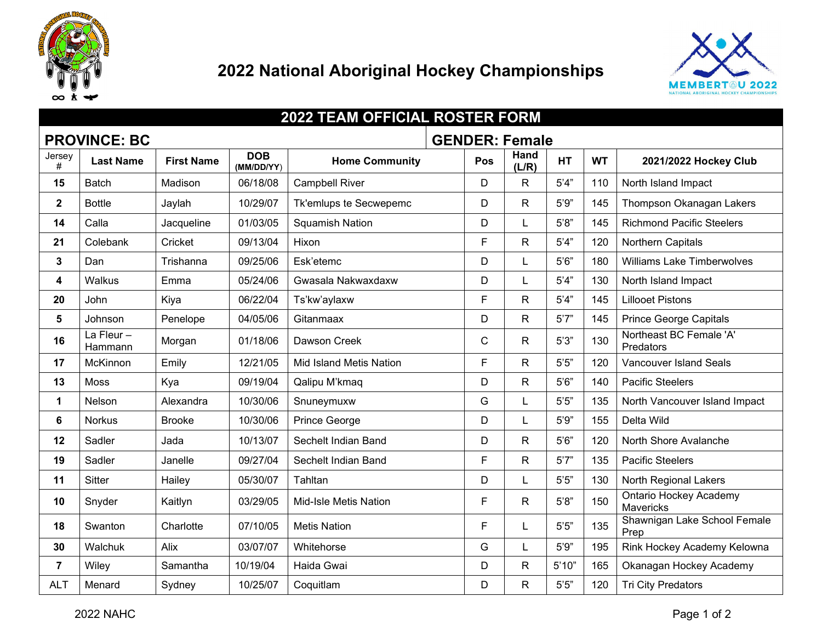



| <b>2022 TEAM OFFICIAL ROSTER FORM</b>        |                      |                   |                          |                         |  |             |               |           |           |                                            |
|----------------------------------------------|----------------------|-------------------|--------------------------|-------------------------|--|-------------|---------------|-----------|-----------|--------------------------------------------|
| <b>PROVINCE: BC</b><br><b>GENDER: Female</b> |                      |                   |                          |                         |  |             |               |           |           |                                            |
| Jersey<br>#                                  | <b>Last Name</b>     | <b>First Name</b> | <b>DOB</b><br>(MM/DD/YY) | <b>Home Community</b>   |  | Pos         | Hand<br>(L/R) | <b>HT</b> | <b>WT</b> | 2021/2022 Hockey Club                      |
| 15                                           | <b>Batch</b>         | Madison           | 06/18/08                 | <b>Campbell River</b>   |  | D           | R             | 5'4''     | 110       | North Island Impact                        |
| $\mathbf{2}$                                 | <b>Bottle</b>        | Jaylah            | 10/29/07                 | Tk'emlups te Secwepemc  |  | D           | R             | 5'9''     | 145       | Thompson Okanagan Lakers                   |
| 14                                           | Calla                | Jacqueline        | 01/03/05                 | <b>Squamish Nation</b>  |  | D           |               | 5'8''     | 145       | <b>Richmond Pacific Steelers</b>           |
| 21                                           | Colebank             | Cricket           | 09/13/04                 | Hixon                   |  | F           | R             | 5'4''     | 120       | Northern Capitals                          |
| $\mathbf{3}$                                 | Dan                  | Trishanna         | 09/25/06                 | Esk'etemc               |  | D           | L             | 5'6''     | 180       | <b>Williams Lake Timberwolves</b>          |
| $\overline{\mathbf{4}}$                      | <b>Walkus</b>        | Emma              | 05/24/06                 | Gwasala Nakwaxdaxw      |  | D           | L             | 5'4''     | 130       | North Island Impact                        |
| 20                                           | John                 | Kiya              | 06/22/04                 | Ts'kw'aylaxw            |  | F           | R             | 5'4''     | 145       | <b>Lillooet Pistons</b>                    |
| 5                                            | Johnson              | Penelope          | 04/05/06                 | Gitanmaax               |  | D           | R             | 5'7''     | 145       | <b>Prince George Capitals</b>              |
| 16                                           | La Fleur-<br>Hammann | Morgan            | 01/18/06                 | Dawson Creek            |  | $\mathsf C$ | R.            | 5'3''     | 130       | Northeast BC Female 'A'<br>Predators       |
| 17                                           | McKinnon             | Emily             | 12/21/05                 | Mid Island Metis Nation |  | F           | R.            | 5'5"      | 120       | Vancouver Island Seals                     |
| 13                                           | Moss                 | Kya               | 09/19/04                 | Qalipu M'kmaq           |  | D           | R             | 5'6''     | 140       | <b>Pacific Steelers</b>                    |
| $\mathbf 1$                                  | Nelson               | Alexandra         | 10/30/06                 | Snuneymuxw              |  | G           |               | 5'5"      | 135       | North Vancouver Island Impact              |
| 6                                            | <b>Norkus</b>        | <b>Brooke</b>     | 10/30/06                 | <b>Prince George</b>    |  | D           |               | 5'9''     | 155       | Delta Wild                                 |
| 12                                           | Sadler               | Jada              | 10/13/07                 | Sechelt Indian Band     |  | D           | R             | 5'6''     | 120       | North Shore Avalanche                      |
| 19                                           | Sadler               | Janelle           | 09/27/04                 | Sechelt Indian Band     |  | F           | R.            | 5'7''     | 135       | <b>Pacific Steelers</b>                    |
| 11                                           | <b>Sitter</b>        | Hailey            | 05/30/07                 | Tahltan                 |  | D           | L             | 5'5"      | 130       | North Regional Lakers                      |
| 10                                           | Snyder               | Kaitlyn           | 03/29/05                 | Mid-Isle Metis Nation   |  | F           | R             | 5'8''     | 150       | <b>Ontario Hockey Academy</b><br>Mavericks |
| 18                                           | Swanton              | Charlotte         | 07/10/05                 | <b>Metis Nation</b>     |  | F           | L             | 5'5''     | 135       | Shawnigan Lake School Female<br>Prep       |
| 30                                           | Walchuk              | Alix              | 03/07/07                 | Whitehorse              |  | G           |               | 5'9''     | 195       | Rink Hockey Academy Kelowna                |
| $\overline{7}$                               | Wiley                | Samantha          | 10/19/04                 | Haida Gwai              |  | D           | R             | 5'10"     | 165       | Okanagan Hockey Academy                    |
| <b>ALT</b>                                   | Menard               | Sydney            | 10/25/07                 | Coquitlam               |  | D           | R             | 5'5''     | 120       | <b>Tri City Predators</b>                  |